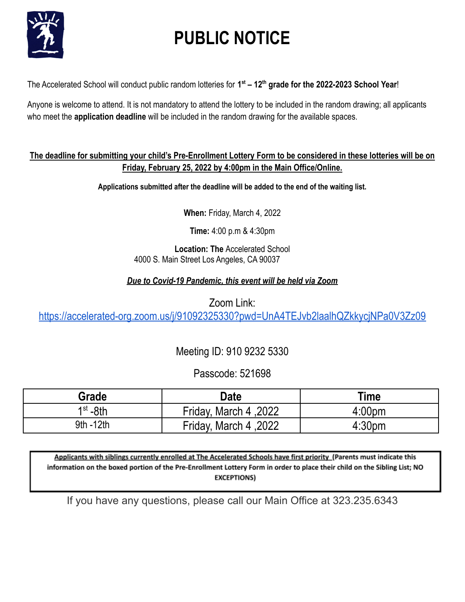

# **PUBLIC NOTICE**

The Accelerated School will conduct public random lotteries for **1 st – 12th grade for the 2022-2023 School Year**!

Anyone is welcome to attend. It is not mandatory to attend the lottery to be included in the random drawing; all applicants who meet the **application deadline** will be included in the random drawing for the available spaces.

### **The deadline for submitting your child's Pre-Enrollment Lottery Form to be considered in these lotteries will be on Friday, February 25, 2022 by 4:00pm in the Main Office/Online.**

**Applications submitted after the deadline will be added to the end of the waiting list.**

**When:** Friday, March 4, 2022

**Time:** 4:00 p.m & 4:30pm

**Location: The** Accelerated School 4000 S. Main Street Los Angeles, CA 90037

## *Due to Covid-19 Pandemic, this event will be held via Zoom*

Zoom Link: <https://accelerated-org.zoom.us/j/91092325330?pwd=UnA4TEJvb2laalhQZkkycjNPa0V3Zz09>

Meeting ID: 910 9232 5330

## Passcode: 521698

| Grade                | Date                  | Time               |
|----------------------|-----------------------|--------------------|
| 1 <sup>st</sup> -8th | Friday, March 4, 2022 | 4:00 <sub>pm</sub> |
| 9th - 12th           | 2022, Friday, March 4 | 4:30 <sub>pm</sub> |

Applicants with siblings currently enrolled at The Accelerated Schools have first priority (Parents must indicate this information on the boxed portion of the Pre-Enrollment Lottery Form in order to place their child on the Sibling List; NO **EXCEPTIONS)** 

If you have any questions, please call our Main Office at 323.235.6343